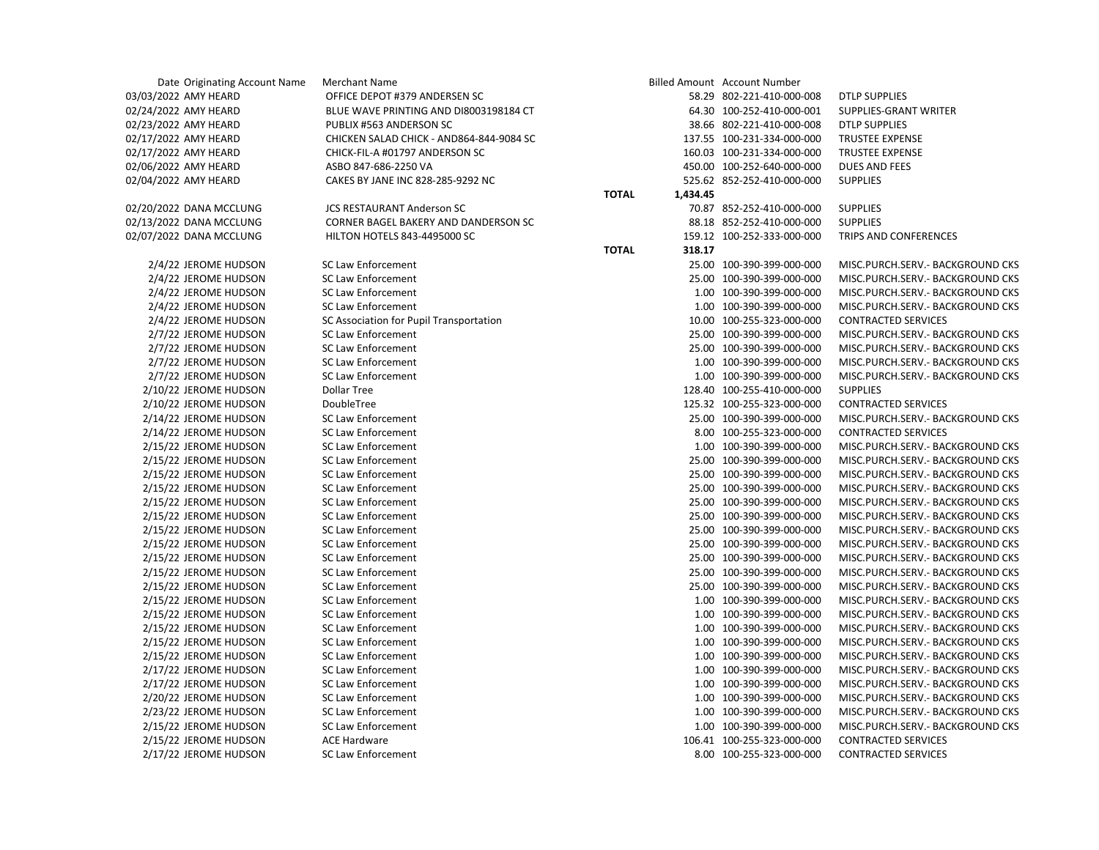| Date Originating Account Name | Merchant Name                            |              |          | Billed Amount Account Number |                                   |
|-------------------------------|------------------------------------------|--------------|----------|------------------------------|-----------------------------------|
| 03/03/2022 AMY HEARD          | OFFICE DEPOT #379 ANDERSEN SC            |              |          | 58.29 802-221-410-000-008    | <b>DTLP SUPPLIES</b>              |
| 02/24/2022 AMY HEARD          | BLUE WAVE PRINTING AND DI8003198184 CT   |              |          | 64.30 100-252-410-000-001    | SUPPLIES-GRANT WRITER             |
| 02/23/2022 AMY HEARD          | PUBLIX #563 ANDERSON SC                  |              |          | 38.66 802-221-410-000-008    | <b>DTLP SUPPLIES</b>              |
| 02/17/2022 AMY HEARD          | CHICKEN SALAD CHICK - AND864-844-9084 SC |              |          | 137.55 100-231-334-000-000   | TRUSTEE EXPENSE                   |
|                               | CHICK-FIL-A #01797 ANDERSON SC           |              |          | 160.03 100-231-334-000-000   |                                   |
| 02/17/2022 AMY HEARD          |                                          |              |          |                              | <b>TRUSTEE EXPENSE</b>            |
| 02/06/2022 AMY HEARD          | ASBO 847-686-2250 VA                     |              |          | 450.00 100-252-640-000-000   | <b>DUES AND FEES</b>              |
| 02/04/2022 AMY HEARD          | CAKES BY JANE INC 828-285-9292 NC        |              |          | 525.62 852-252-410-000-000   | <b>SUPPLIES</b>                   |
|                               |                                          | <b>TOTAL</b> | 1,434.45 |                              |                                   |
| 02/20/2022 DANA MCCLUNG       | <b>JCS RESTAURANT Anderson SC</b>        |              |          | 70.87 852-252-410-000-000    | <b>SUPPLIES</b>                   |
| 02/13/2022 DANA MCCLUNG       | CORNER BAGEL BAKERY AND DANDERSON SC     |              |          | 88.18 852-252-410-000-000    | <b>SUPPLIES</b>                   |
| 02/07/2022 DANA MCCLUNG       | HILTON HOTELS 843-4495000 SC             |              |          | 159.12 100-252-333-000-000   | TRIPS AND CONFERENCES             |
|                               |                                          | <b>TOTAL</b> | 318.17   |                              |                                   |
| 2/4/22 JEROME HUDSON          | <b>SC Law Enforcement</b>                |              |          | 25.00 100-390-399-000-000    | MISC.PURCH.SERV.- BACKGROUND CKS  |
| 2/4/22 JEROME HUDSON          | <b>SC Law Enforcement</b>                |              |          | 25.00 100-390-399-000-000    | MISC.PURCH.SERV.- BACKGROUND CKS  |
| 2/4/22 JEROME HUDSON          | SC Law Enforcement                       |              |          | 1.00 100-390-399-000-000     | MISC.PURCH.SERV.- BACKGROUND CKS  |
| 2/4/22 JEROME HUDSON          | <b>SC Law Enforcement</b>                |              |          | 1.00 100-390-399-000-000     | MISC.PURCH.SERV. - BACKGROUND CKS |
| 2/4/22 JEROME HUDSON          | SC Association for Pupil Transportation  |              |          | 10.00 100-255-323-000-000    | <b>CONTRACTED SERVICES</b>        |
| 2/7/22 JEROME HUDSON          | <b>SC Law Enforcement</b>                |              |          | 25.00 100-390-399-000-000    | MISC.PURCH.SERV.- BACKGROUND CKS  |
| 2/7/22 JEROME HUDSON          | SC Law Enforcement                       |              |          | 25.00 100-390-399-000-000    | MISC.PURCH.SERV.- BACKGROUND CKS  |
| 2/7/22 JEROME HUDSON          | <b>SC Law Enforcement</b>                |              |          | 1.00 100-390-399-000-000     | MISC.PURCH.SERV. - BACKGROUND CKS |
| 2/7/22 JEROME HUDSON          | <b>SC Law Enforcement</b>                |              |          | 1.00 100-390-399-000-000     | MISC.PURCH.SERV.- BACKGROUND CKS  |
| 2/10/22 JEROME HUDSON         | Dollar Tree                              |              |          | 128.40 100-255-410-000-000   | <b>SUPPLIES</b>                   |
| 2/10/22 JEROME HUDSON         | DoubleTree                               |              |          | 125.32 100-255-323-000-000   | CONTRACTED SERVICES               |
| 2/14/22 JEROME HUDSON         | <b>SC Law Enforcement</b>                |              |          | 25.00 100-390-399-000-000    | MISC.PURCH.SERV. - BACKGROUND CKS |
| 2/14/22 JEROME HUDSON         | <b>SC Law Enforcement</b>                |              |          | 8.00 100-255-323-000-000     | <b>CONTRACTED SERVICES</b>        |
| 2/15/22 JEROME HUDSON         | <b>SC Law Enforcement</b>                |              |          | 1.00 100-390-399-000-000     | MISC.PURCH.SERV. - BACKGROUND CKS |
| 2/15/22 JEROME HUDSON         | SC Law Enforcement                       |              |          | 25.00 100-390-399-000-000    | MISC.PURCH.SERV. - BACKGROUND CKS |
| 2/15/22 JEROME HUDSON         | <b>SC Law Enforcement</b>                |              |          | 25.00 100-390-399-000-000    | MISC.PURCH.SERV. - BACKGROUND CKS |
| 2/15/22 JEROME HUDSON         | <b>SC Law Enforcement</b>                |              |          | 25.00 100-390-399-000-000    | MISC.PURCH.SERV. - BACKGROUND CKS |
| 2/15/22 JEROME HUDSON         | SC Law Enforcement                       |              |          | 25.00 100-390-399-000-000    | MISC.PURCH.SERV. - BACKGROUND CKS |
| 2/15/22 JEROME HUDSON         | SC Law Enforcement                       |              |          | 25.00 100-390-399-000-000    | MISC.PURCH.SERV.- BACKGROUND CKS  |
| 2/15/22 JEROME HUDSON         | <b>SC Law Enforcement</b>                |              |          | 25.00 100-390-399-000-000    | MISC.PURCH.SERV. - BACKGROUND CKS |
| 2/15/22 JEROME HUDSON         | <b>SC Law Enforcement</b>                |              |          | 25.00 100-390-399-000-000    | MISC.PURCH.SERV. - BACKGROUND CKS |
| 2/15/22 JEROME HUDSON         | SC Law Enforcement                       |              |          | 25.00 100-390-399-000-000    | MISC.PURCH.SERV. - BACKGROUND CKS |
| 2/15/22 JEROME HUDSON         | <b>SC Law Enforcement</b>                |              |          | 25.00 100-390-399-000-000    | MISC.PURCH.SERV. - BACKGROUND CKS |
| 2/15/22 JEROME HUDSON         | <b>SC Law Enforcement</b>                |              |          | 25.00 100-390-399-000-000    | MISC.PURCH.SERV.- BACKGROUND CKS  |
| 2/15/22 JEROME HUDSON         | <b>SC Law Enforcement</b>                |              |          | 1.00 100-390-399-000-000     | MISC.PURCH.SERV.- BACKGROUND CKS  |
| 2/15/22 JEROME HUDSON         | <b>SC Law Enforcement</b>                |              |          | 1.00 100-390-399-000-000     | MISC.PURCH.SERV. - BACKGROUND CKS |
| 2/15/22 JEROME HUDSON         | <b>SC Law Enforcement</b>                |              |          | 1.00 100-390-399-000-000     | MISC.PURCH.SERV.- BACKGROUND CKS  |
| 2/15/22 JEROME HUDSON         | SC Law Enforcement                       |              |          | 1.00 100-390-399-000-000     | MISC.PURCH.SERV.- BACKGROUND CKS  |
| 2/15/22 JEROME HUDSON         | SC Law Enforcement                       |              |          | 1.00 100-390-399-000-000     | MISC.PURCH.SERV. - BACKGROUND CKS |
| 2/17/22 JEROME HUDSON         | SC Law Enforcement                       |              |          | 1.00 100-390-399-000-000     | MISC.PURCH.SERV. - BACKGROUND CKS |
| 2/17/22 JEROME HUDSON         | <b>SC Law Enforcement</b>                |              |          | 1.00 100-390-399-000-000     | MISC.PURCH.SERV.- BACKGROUND CKS  |
| 2/20/22 JEROME HUDSON         | SC Law Enforcement                       |              |          | 1.00 100-390-399-000-000     | MISC.PURCH.SERV.- BACKGROUND CKS  |
| 2/23/22 JEROME HUDSON         | <b>SC Law Enforcement</b>                |              |          | 1.00 100-390-399-000-000     | MISC.PURCH.SERV.- BACKGROUND CKS  |
| 2/15/22 JEROME HUDSON         | SC Law Enforcement                       |              |          | 1.00 100-390-399-000-000     | MISC.PURCH.SERV.- BACKGROUND CKS  |
| 2/15/22 JEROME HUDSON         | <b>ACE Hardware</b>                      |              |          | 106.41 100-255-323-000-000   | <b>CONTRACTED SERVICES</b>        |
| 2/17/22 JEROME HUDSON         | <b>SC Law Enforcement</b>                |              |          | 8.00 100-255-323-000-000     | <b>CONTRACTED SERVICES</b>        |
|                               |                                          |              |          |                              |                                   |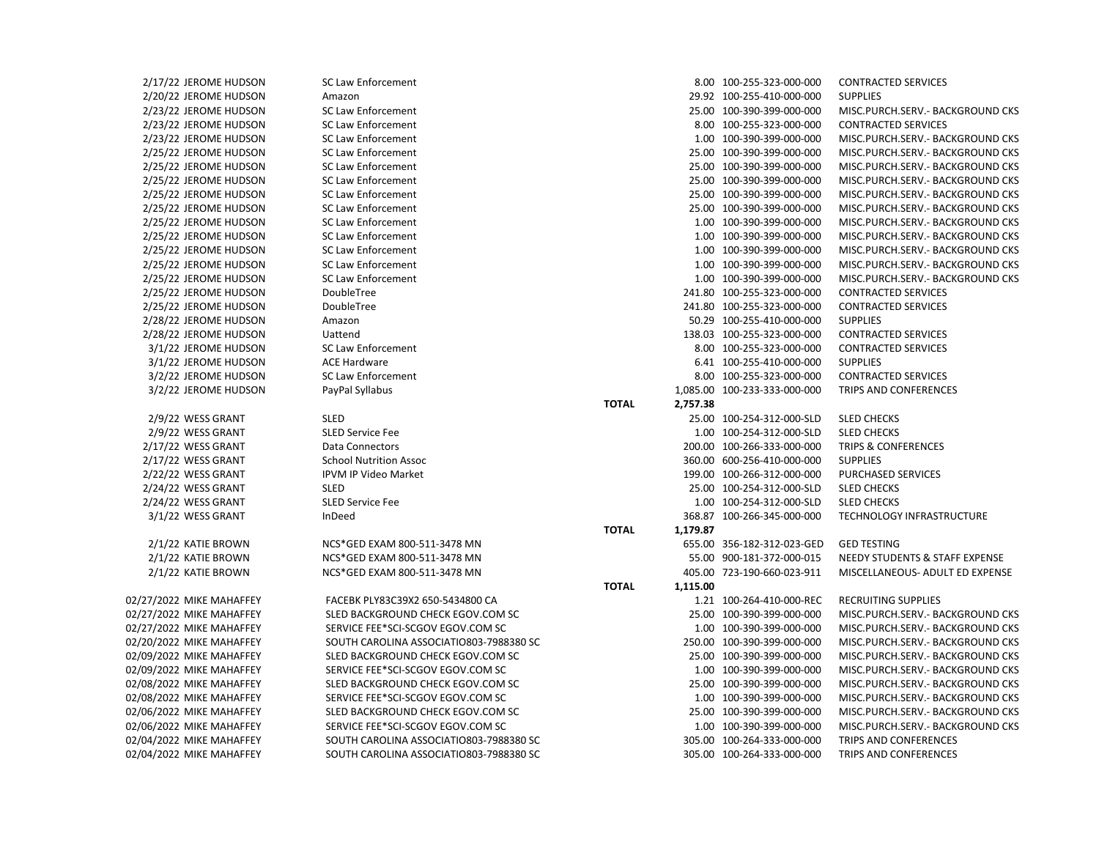| 2/17/22 JEROME HUDSON    | SC Law Enforcement                      |                          | 8.00 100-255-323-000-000     | <b>CONTRACTED SERVICES</b>                |
|--------------------------|-----------------------------------------|--------------------------|------------------------------|-------------------------------------------|
| 2/20/22 JEROME HUDSON    | Amazon                                  |                          | 29.92 100-255-410-000-000    | <b>SUPPLIES</b>                           |
| 2/23/22 JEROME HUDSON    | <b>SC Law Enforcement</b>               |                          | 25.00 100-390-399-000-000    | MISC.PURCH.SERV.- BACKGROUND CKS          |
| 2/23/22 JEROME HUDSON    | <b>SC Law Enforcement</b>               |                          | 8.00 100-255-323-000-000     | <b>CONTRACTED SERVICES</b>                |
| 2/23/22 JEROME HUDSON    | <b>SC Law Enforcement</b>               |                          | 1.00 100-390-399-000-000     | MISC.PURCH.SERV.- BACKGROUND CKS          |
| 2/25/22 JEROME HUDSON    | <b>SC Law Enforcement</b>               |                          | 25.00 100-390-399-000-000    | MISC.PURCH.SERV.- BACKGROUND CKS          |
| 2/25/22 JEROME HUDSON    | <b>SC Law Enforcement</b>               |                          | 25.00 100-390-399-000-000    | MISC.PURCH.SERV.- BACKGROUND CKS          |
| 2/25/22 JEROME HUDSON    | <b>SC Law Enforcement</b>               |                          | 25.00 100-390-399-000-000    | MISC.PURCH.SERV.- BACKGROUND CKS          |
| 2/25/22 JEROME HUDSON    | <b>SC Law Enforcement</b>               |                          | 25.00 100-390-399-000-000    | MISC.PURCH.SERV.- BACKGROUND CKS          |
| 2/25/22 JEROME HUDSON    | <b>SC Law Enforcement</b>               |                          | 25.00 100-390-399-000-000    | MISC.PURCH.SERV.- BACKGROUND CKS          |
| 2/25/22 JEROME HUDSON    | <b>SC Law Enforcement</b>               |                          | 1.00 100-390-399-000-000     | MISC.PURCH.SERV.- BACKGROUND CKS          |
| 2/25/22 JEROME HUDSON    | <b>SC Law Enforcement</b>               |                          | 1.00 100-390-399-000-000     | MISC.PURCH.SERV.- BACKGROUND CKS          |
| 2/25/22 JEROME HUDSON    | <b>SC Law Enforcement</b>               |                          | 1.00 100-390-399-000-000     | MISC.PURCH.SERV.- BACKGROUND CKS          |
| 2/25/22 JEROME HUDSON    | <b>SC Law Enforcement</b>               |                          | 1.00 100-390-399-000-000     | MISC.PURCH.SERV.- BACKGROUND CKS          |
| 2/25/22 JEROME HUDSON    | <b>SC Law Enforcement</b>               |                          | 1.00 100-390-399-000-000     | MISC.PURCH.SERV.- BACKGROUND CKS          |
| 2/25/22 JEROME HUDSON    | DoubleTree                              |                          | 241.80 100-255-323-000-000   | <b>CONTRACTED SERVICES</b>                |
| 2/25/22 JEROME HUDSON    | DoubleTree                              |                          | 241.80 100-255-323-000-000   | <b>CONTRACTED SERVICES</b>                |
| 2/28/22 JEROME HUDSON    | Amazon                                  |                          | 50.29 100-255-410-000-000    | <b>SUPPLIES</b>                           |
| 2/28/22 JEROME HUDSON    | Uattend                                 |                          | 138.03 100-255-323-000-000   | <b>CONTRACTED SERVICES</b>                |
| 3/1/22 JEROME HUDSON     | <b>SC Law Enforcement</b>               |                          | 8.00 100-255-323-000-000     | <b>CONTRACTED SERVICES</b>                |
| 3/1/22 JEROME HUDSON     | <b>ACE Hardware</b>                     |                          | 6.41 100-255-410-000-000     | <b>SUPPLIES</b>                           |
| 3/2/22 JEROME HUDSON     | <b>SC Law Enforcement</b>               |                          | 8.00 100-255-323-000-000     | <b>CONTRACTED SERVICES</b>                |
| 3/2/22 JEROME HUDSON     | PayPal Syllabus                         |                          | 1,085.00 100-233-333-000-000 | TRIPS AND CONFERENCES                     |
|                          |                                         | <b>TOTAL</b><br>2,757.38 |                              |                                           |
| 2/9/22 WESS GRANT        | <b>SLED</b>                             |                          | 25.00 100-254-312-000-SLD    | <b>SLED CHECKS</b>                        |
| 2/9/22 WESS GRANT        | <b>SLED Service Fee</b>                 |                          | 1.00 100-254-312-000-SLD     | <b>SLED CHECKS</b>                        |
| 2/17/22 WESS GRANT       | <b>Data Connectors</b>                  |                          | 200.00 100-266-333-000-000   | <b>TRIPS &amp; CONFERENCES</b>            |
| 2/17/22 WESS GRANT       | <b>School Nutrition Assoc</b>           |                          | 360.00 600-256-410-000-000   | <b>SUPPLIES</b>                           |
| 2/22/22 WESS GRANT       | IPVM IP Video Market                    |                          | 199.00 100-266-312-000-000   | <b>PURCHASED SERVICES</b>                 |
| 2/24/22 WESS GRANT       | <b>SLED</b>                             |                          | 25.00 100-254-312-000-SLD    | <b>SLED CHECKS</b>                        |
| 2/24/22 WESS GRANT       | <b>SLED Service Fee</b>                 |                          | 1.00 100-254-312-000-SLD     | <b>SLED CHECKS</b>                        |
| 3/1/22 WESS GRANT        | InDeed                                  |                          | 368.87 100-266-345-000-000   | TECHNOLOGY INFRASTRUCTURE                 |
|                          |                                         | <b>TOTAL</b><br>1,179.87 |                              |                                           |
| 2/1/22 KATIE BROWN       | NCS*GED EXAM 800-511-3478 MN            |                          | 655.00 356-182-312-023-GED   | <b>GED TESTING</b>                        |
| 2/1/22 KATIE BROWN       | NCS*GED EXAM 800-511-3478 MN            |                          | 55.00 900-181-372-000-015    | <b>NEEDY STUDENTS &amp; STAFF EXPENSE</b> |
| 2/1/22 KATIE BROWN       | NCS*GED EXAM 800-511-3478 MN            |                          | 405.00 723-190-660-023-911   | MISCELLANEOUS- ADULT ED EXPENSE           |
|                          |                                         | <b>TOTAL</b><br>1,115.00 |                              |                                           |
| 02/27/2022 MIKE MAHAFFEY | FACEBK PLY83C39X2 650-5434800 CA        |                          | 1.21 100-264-410-000-REC     | RECRUITING SUPPLIES                       |
| 02/27/2022 MIKE MAHAFFEY | SLED BACKGROUND CHECK EGOV.COM SC       |                          | 25.00 100-390-399-000-000    | MISC.PURCH.SERV.- BACKGROUND CKS          |
| 02/27/2022 MIKE MAHAFFEY | SERVICE FEE*SCI-SCGOV EGOV.COM SC       |                          | 1.00 100-390-399-000-000     | MISC.PURCH.SERV.- BACKGROUND CKS          |
| 02/20/2022 MIKE MAHAFFEY | SOUTH CAROLINA ASSOCIATIO803-7988380 SC |                          | 250.00 100-390-399-000-000   | MISC.PURCH.SERV.- BACKGROUND CKS          |
| 02/09/2022 MIKE MAHAFFEY | SLED BACKGROUND CHECK EGOV.COM SC       |                          | 25.00 100-390-399-000-000    | MISC.PURCH.SERV.- BACKGROUND CKS          |
| 02/09/2022 MIKE MAHAFFEY | SERVICE FEE*SCI-SCGOV EGOV.COM SC       |                          | 1.00 100-390-399-000-000     | MISC.PURCH.SERV.- BACKGROUND CKS          |
| 02/08/2022 MIKE MAHAFFEY | SLED BACKGROUND CHECK EGOV.COM SC       |                          | 25.00 100-390-399-000-000    | MISC.PURCH.SERV.- BACKGROUND CKS          |
| 02/08/2022 MIKE MAHAFFEY | SERVICE FEE*SCI-SCGOV EGOV.COM SC       |                          | 1.00 100-390-399-000-000     | MISC.PURCH.SERV.- BACKGROUND CKS          |
| 02/06/2022 MIKE MAHAFFEY | SLED BACKGROUND CHECK EGOV.COM SC       |                          | 25.00 100-390-399-000-000    | MISC.PURCH.SERV.- BACKGROUND CKS          |
| 02/06/2022 MIKE MAHAFFEY | SERVICE FEE*SCI-SCGOV EGOV.COM SC       |                          | 1.00 100-390-399-000-000     | MISC.PURCH.SERV.- BACKGROUND CKS          |
| 02/04/2022 MIKE MAHAFFEY | SOUTH CAROLINA ASSOCIATIO803-7988380 SC |                          | 305.00 100-264-333-000-000   | TRIPS AND CONFERENCES                     |
| 02/04/2022 MIKE MAHAFFEY | SOUTH CAROLINA ASSOCIATIO803-7988380 SC |                          | 305.00 100-264-333-000-000   | TRIPS AND CONFERENCES                     |